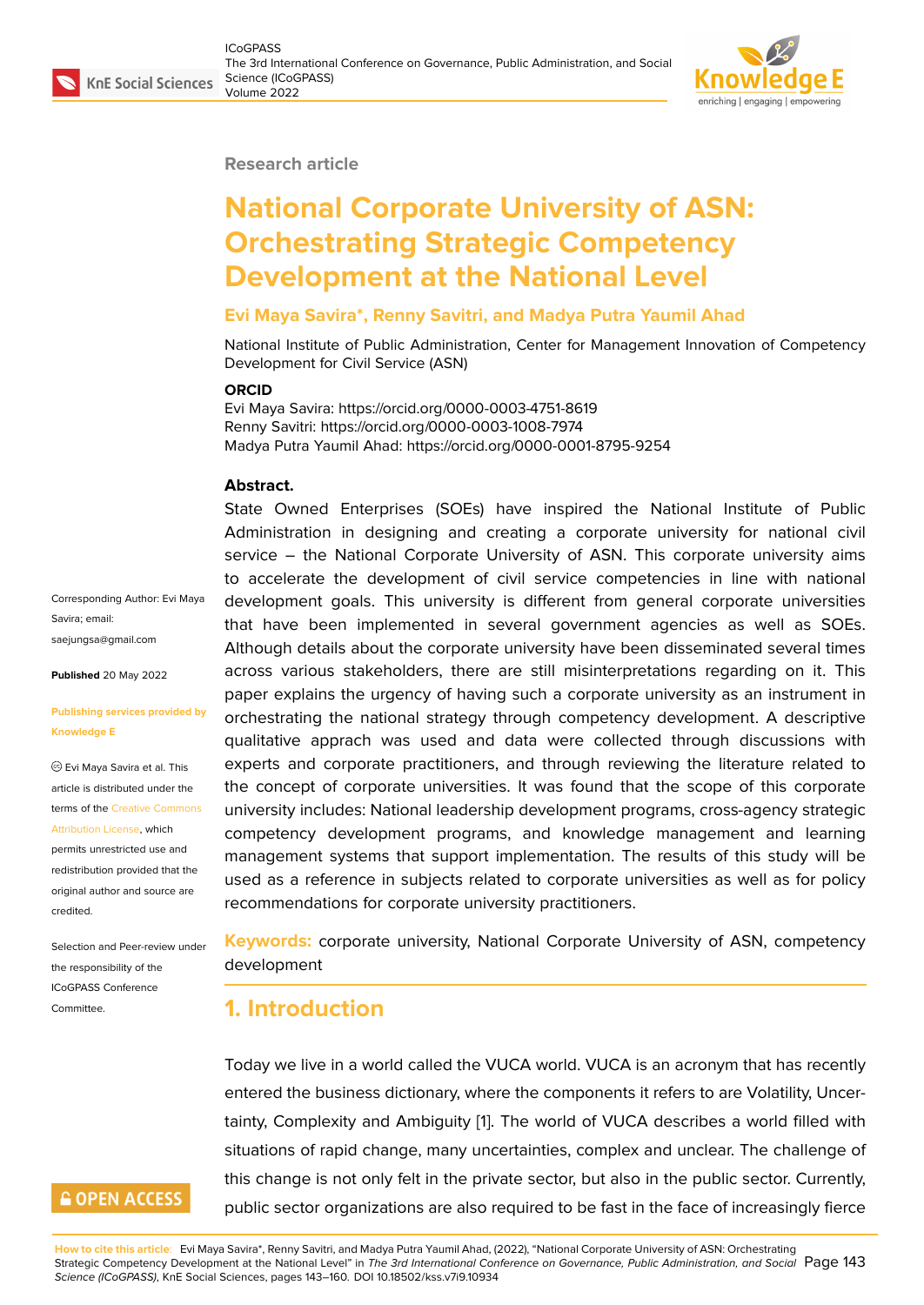

#### **Research article**

# **National Corporate University of ASN: Orchestrating Strategic Competency Development at the National Level**

#### **Evi Maya Savira\*, Renny Savitri, and Madya Putra Yaumil Ahad**

National Institute of Public Administration, Center for Management Innovation of Competency Development for Civil Service (ASN)

#### **ORCID**

Evi Maya Savira: https://orcid.org/0000-0003-4751-8619 Renny Savitri: https://orcid.org/0000-0003-1008-7974 Madya Putra Yaumil Ahad: https://orcid.org/0000-0001-8795-9254

#### **Abstract.**

State Owned Enterprises (SOEs) have inspired the National Institute of Public Administration in designing and creating a corporate university for national civil service – the National Corporate University of ASN. This corporate university aims to accelerate the development of civil service competencies in line with national development goals. This university is different from general corporate universities that have been implemented in several government agencies as well as SOEs. Although details about the corporate university have been disseminated several times across various stakeholders, there are still misinterpretations regarding on it. This paper explains the urgency of having such a corporate university as an instrument in orchestrating the national strategy through competency development. A descriptive qualitative apprach was used and data were collected through discussions with experts and corporate practitioners, and through reviewing the literature related to the concept of corporate universities. It was found that the scope of this corporate university includes: National leadership development programs, cross-agency strategic competency development programs, and knowledge management and learning management systems that support implementation. The results of this study will be used as a reference in subjects related to corporate universities as well as for policy recommendations for corporate university practitioners.

**Keywords:** corporate university, National Corporate University of ASN, competency development

### **1. Introduction**

Today we live in a world called the VUCA world. VUCA is an acronym that has recently entered the business dictionary, where the components it refers to are Volatility, Uncertainty, Complexity and Ambiguity [1]. The world of VUCA describes a world filled with situations of rapid change, many uncertainties, complex and unclear. The challenge of this change is not only felt in the private sector, but also in the public sector. Currently, public sector organizations are als[o](#page-16-0) required to be fast in the face of increasingly fierce

**How to cite this article**: Evi Maya Savira\*, Renny Savitri, and Madya Putra Yaumil Ahad, (2022), "National Corporate University of ASN: Orchestrating

Corresponding Author: Evi Maya Savira; email: saejungsa@gmail.com

**Published** 20 May 2022

#### **[Publishing services pr](mailto:saejungsa@gmail.com)ovided by Knowledge E**

Evi Maya Savira et al. This article is distributed under the terms of the Creative Commons Attribution License, which

permits unrestricted use and redistribution provided that the original auth[or and source are](https://creativecommons.org/licenses/by/4.0/) [credited.](https://creativecommons.org/licenses/by/4.0/)

Selection and Peer-review under the responsibility of the ICoGPASS Conference **Committee** 

## **GOPEN ACCESS**

Strategic Competency Development at the National Level" in *The 3rd International Conference on Governance, Public Administration, and Social* Page 143 *Science (ICoGPASS)*, KnE Social Sciences, pages 143–160. DOI 10.18502/kss.v7i9.10934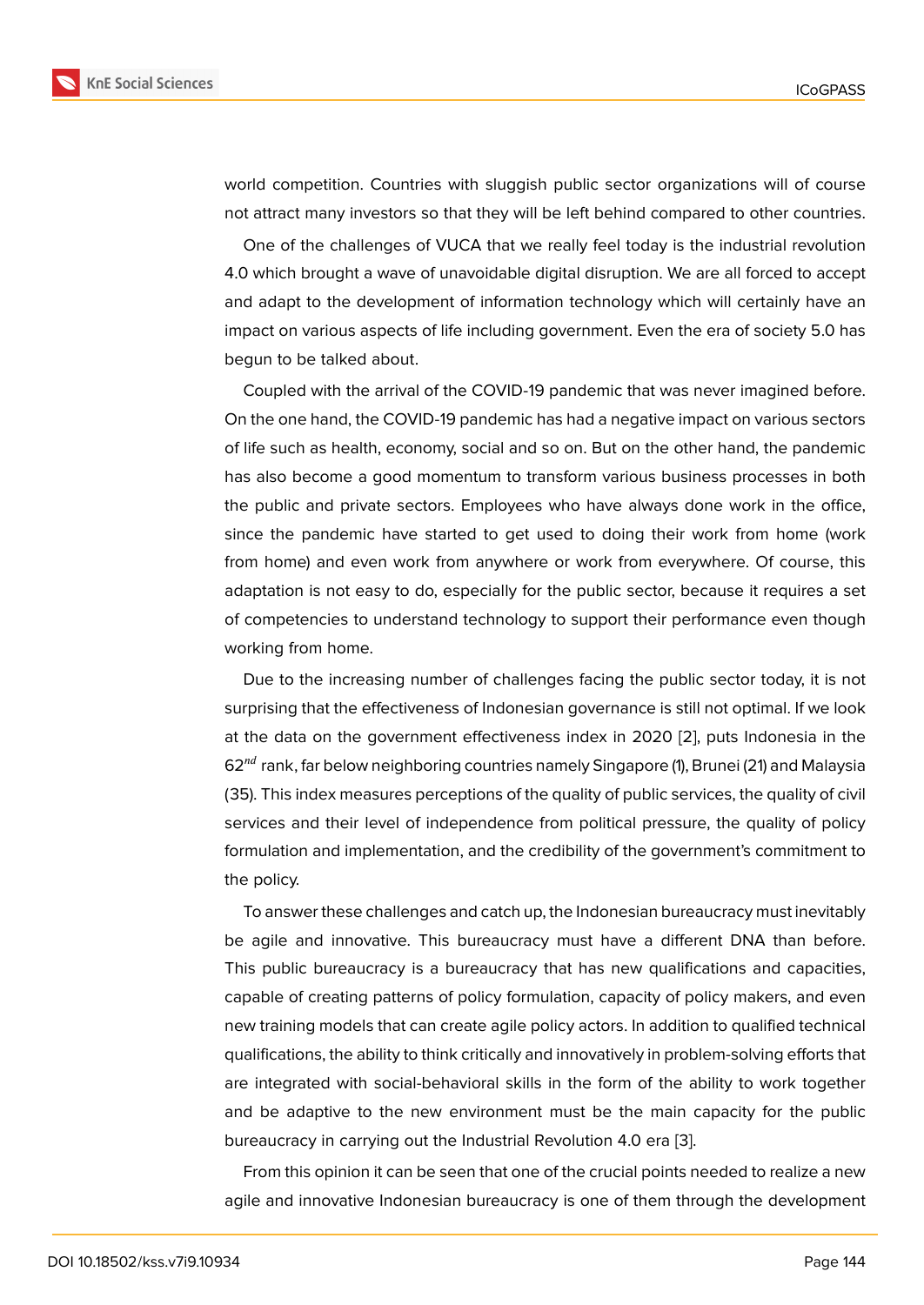world competition. Countries with sluggish public sector organizations will of course not attract many investors so that they will be left behind compared to other countries.

One of the challenges of VUCA that we really feel today is the industrial revolution 4.0 which brought a wave of unavoidable digital disruption. We are all forced to accept and adapt to the development of information technology which will certainly have an impact on various aspects of life including government. Even the era of society 5.0 has begun to be talked about.

Coupled with the arrival of the COVID-19 pandemic that was never imagined before. On the one hand, the COVID-19 pandemic has had a negative impact on various sectors of life such as health, economy, social and so on. But on the other hand, the pandemic has also become a good momentum to transform various business processes in both the public and private sectors. Employees who have always done work in the office, since the pandemic have started to get used to doing their work from home (work from home) and even work from anywhere or work from everywhere. Of course, this adaptation is not easy to do, especially for the public sector, because it requires a set of competencies to understand technology to support their performance even though working from home.

Due to the increasing number of challenges facing the public sector today, it is not surprising that the effectiveness of Indonesian governance is still not optimal. If we look at the data on the government effectiveness index in 2020 [2], puts Indonesia in the  $62<sup>nd</sup>$  rank, far below neighboring countries namely Singapore (1), Brunei (21) and Malaysia (35). This index measures perceptions of the quality of public services, the quality of civil services and their level of independence from political pres[sur](#page-16-1)e, the quality of policy formulation and implementation, and the credibility of the government's commitment to the policy.

To answer these challenges and catch up, the Indonesian bureaucracy must inevitably be agile and innovative. This bureaucracy must have a different DNA than before. This public bureaucracy is a bureaucracy that has new qualifications and capacities, capable of creating patterns of policy formulation, capacity of policy makers, and even new training models that can create agile policy actors. In addition to qualified technical qualifications, the ability to think critically and innovatively in problem-solving efforts that are integrated with social-behavioral skills in the form of the ability to work together and be adaptive to the new environment must be the main capacity for the public bureaucracy in carrying out the Industrial Revolution 4.0 era [3].

From this opinion it can be seen that one of the crucial points needed to realize a new agile and innovative Indonesian bureaucracy is one of them through the development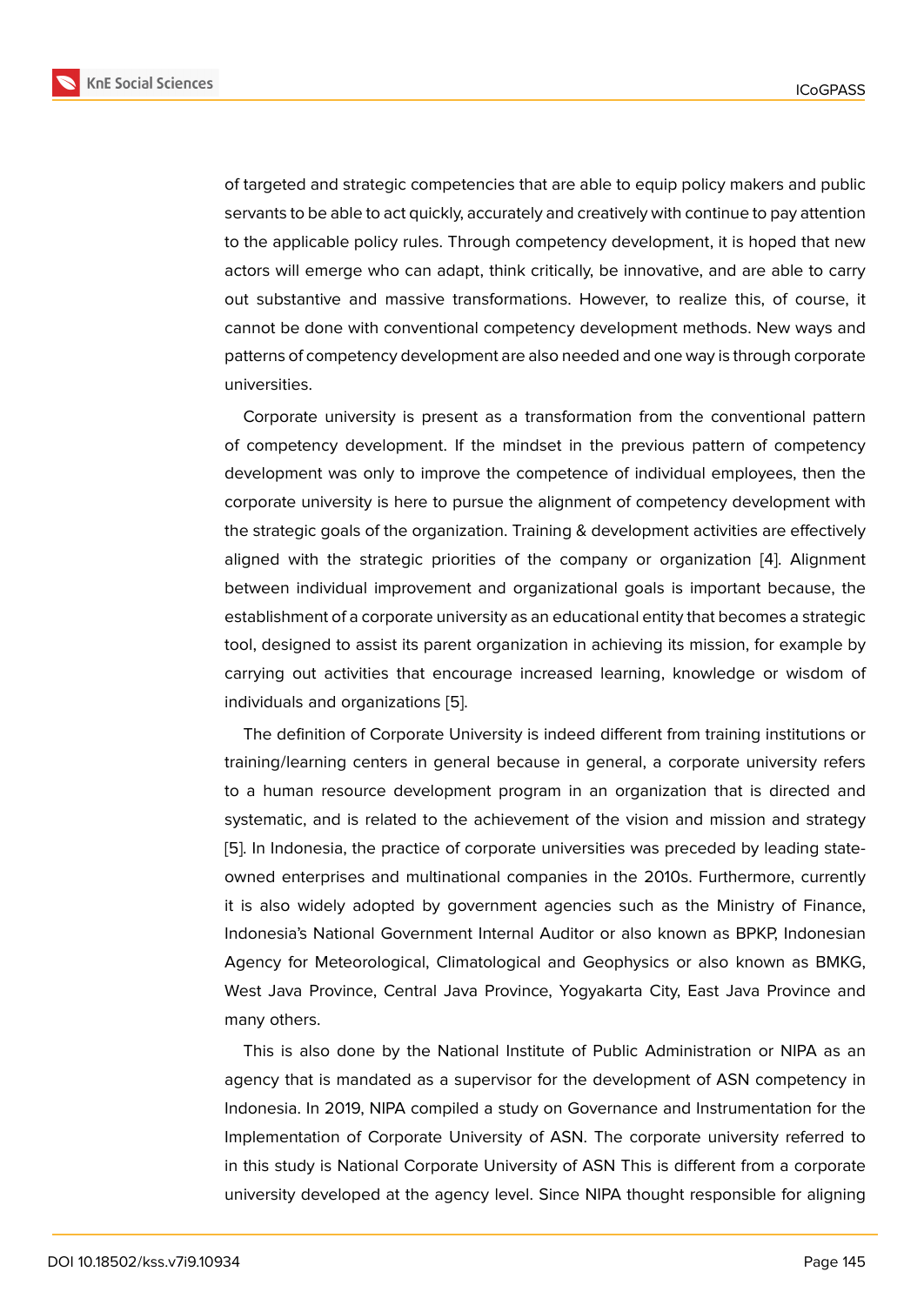of targeted and strategic competencies that are able to equip policy makers and public servants to be able to act quickly, accurately and creatively with continue to pay attention to the applicable policy rules. Through competency development, it is hoped that new actors will emerge who can adapt, think critically, be innovative, and are able to carry out substantive and massive transformations. However, to realize this, of course, it cannot be done with conventional competency development methods. New ways and patterns of competency development are also needed and one way is through corporate universities.

Corporate university is present as a transformation from the conventional pattern of competency development. If the mindset in the previous pattern of competency development was only to improve the competence of individual employees, then the corporate university is here to pursue the alignment of competency development with the strategic goals of the organization. Training & development activities are effectively aligned with the strategic priorities of the company or organization [4]. Alignment between individual improvement and organizational goals is important because, the establishment of a corporate university as an educational entity that becomes a strategic tool, designed to assist its parent organization in achieving its mission, f[or](#page-16-2) example by carrying out activities that encourage increased learning, knowledge or wisdom of individuals and organizations [5].

The definition of Corporate University is indeed different from training institutions or training/learning centers in general because in general, a corporate university refers to a human resource develo[pm](#page-16-3)ent program in an organization that is directed and systematic, and is related to the achievement of the vision and mission and strategy [5]. In Indonesia, the practice of corporate universities was preceded by leading stateowned enterprises and multinational companies in the 2010s. Furthermore, currently it is also widely adopted by government agencies such as the Ministry of Finance, I[nd](#page-16-3)onesia's National Government Internal Auditor or also known as BPKP, Indonesian Agency for Meteorological, Climatological and Geophysics or also known as BMKG, West Java Province, Central Java Province, Yogyakarta City, East Java Province and many others.

This is also done by the National Institute of Public Administration or NIPA as an agency that is mandated as a supervisor for the development of ASN competency in Indonesia. In 2019, NIPA compiled a study on Governance and Instrumentation for the Implementation of Corporate University of ASN. The corporate university referred to in this study is National Corporate University of ASN This is different from a corporate university developed at the agency level. Since NIPA thought responsible for aligning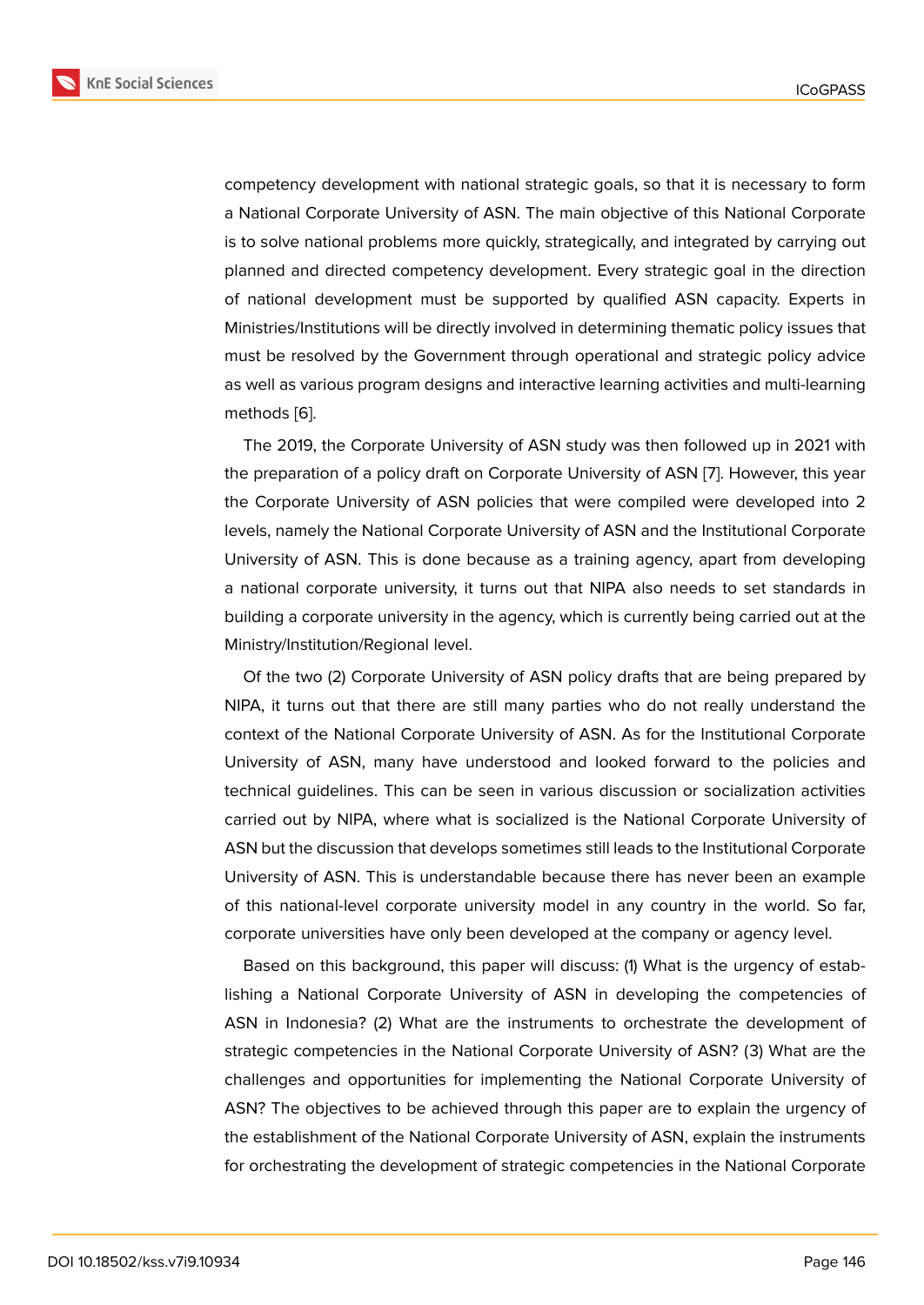competency development with national strategic goals, so that it is necessary to form a National Corporate University of ASN. The main objective of this National Corporate is to solve national problems more quickly, strategically, and integrated by carrying out planned and directed competency development. Every strategic goal in the direction of national development must be supported by qualified ASN capacity. Experts in Ministries/Institutions will be directly involved in determining thematic policy issues that must be resolved by the Government through operational and strategic policy advice as well as various program designs and interactive learning activities and multi-learning methods [6].

The 2019, the Corporate University of ASN study was then followed up in 2021 with the preparation of a policy draft on Corporate University of ASN [7]. However, this year the Corp[ora](#page-16-4)te University of ASN policies that were compiled were developed into 2 levels, namely the National Corporate University of ASN and the Institutional Corporate University of ASN. This is done because as a training agency, [ap](#page-16-5)art from developing a national corporate university, it turns out that NIPA also needs to set standards in building a corporate university in the agency, which is currently being carried out at the Ministry/Institution/Regional level.

Of the two (2) Corporate University of ASN policy drafts that are being prepared by NIPA, it turns out that there are still many parties who do not really understand the context of the National Corporate University of ASN. As for the Institutional Corporate University of ASN, many have understood and looked forward to the policies and technical guidelines. This can be seen in various discussion or socialization activities carried out by NIPA, where what is socialized is the National Corporate University of ASN but the discussion that develops sometimes still leads to the Institutional Corporate University of ASN. This is understandable because there has never been an example of this national-level corporate university model in any country in the world. So far, corporate universities have only been developed at the company or agency level.

Based on this background, this paper will discuss: (1) What is the urgency of establishing a National Corporate University of ASN in developing the competencies of ASN in Indonesia? (2) What are the instruments to orchestrate the development of strategic competencies in the National Corporate University of ASN? (3) What are the challenges and opportunities for implementing the National Corporate University of ASN? The objectives to be achieved through this paper are to explain the urgency of the establishment of the National Corporate University of ASN, explain the instruments for orchestrating the development of strategic competencies in the National Corporate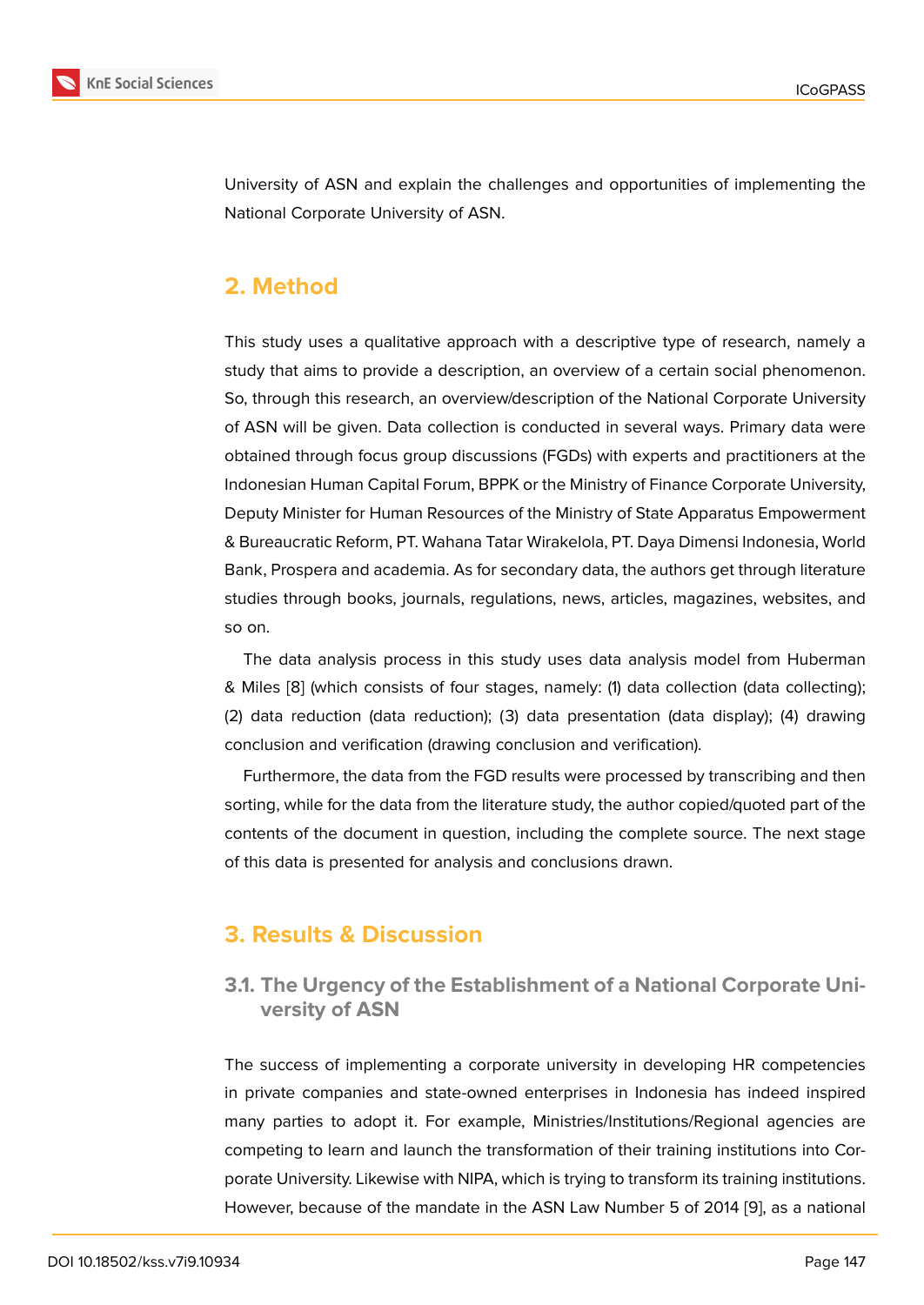University of ASN and explain the challenges and opportunities of implementing the National Corporate University of ASN.

## **2. Method**

This study uses a qualitative approach with a descriptive type of research, namely a study that aims to provide a description, an overview of a certain social phenomenon. So, through this research, an overview/description of the National Corporate University of ASN will be given. Data collection is conducted in several ways. Primary data were obtained through focus group discussions (FGDs) with experts and practitioners at the Indonesian Human Capital Forum, BPPK or the Ministry of Finance Corporate University, Deputy Minister for Human Resources of the Ministry of State Apparatus Empowerment & Bureaucratic Reform, PT. Wahana Tatar Wirakelola, PT. Daya Dimensi Indonesia, World Bank, Prospera and academia. As for secondary data, the authors get through literature studies through books, journals, regulations, news, articles, magazines, websites, and so on.

The data analysis process in this study uses data analysis model from Huberman & Miles [8] (which consists of four stages, namely: (1) data collection (data collecting); (2) data reduction (data reduction); (3) data presentation (data display); (4) drawing conclusion and verification (drawing conclusion and verification).

Furth[erm](#page-16-6)ore, the data from the FGD results were processed by transcribing and then sorting, while for the data from the literature study, the author copied/quoted part of the contents of the document in question, including the complete source. The next stage of this data is presented for analysis and conclusions drawn.

## **3. Results & Discussion**

### **3.1. The Urgency of the Establishment of a National Corporate University of ASN**

The success of implementing a corporate university in developing HR competencies in private companies and state-owned enterprises in Indonesia has indeed inspired many parties to adopt it. For example, Ministries/Institutions/Regional agencies are competing to learn and launch the transformation of their training institutions into Corporate University. Likewise with NIPA, which is trying to transform its training institutions. However, because of the mandate in the ASN Law Number 5 of 2014 [9], as a national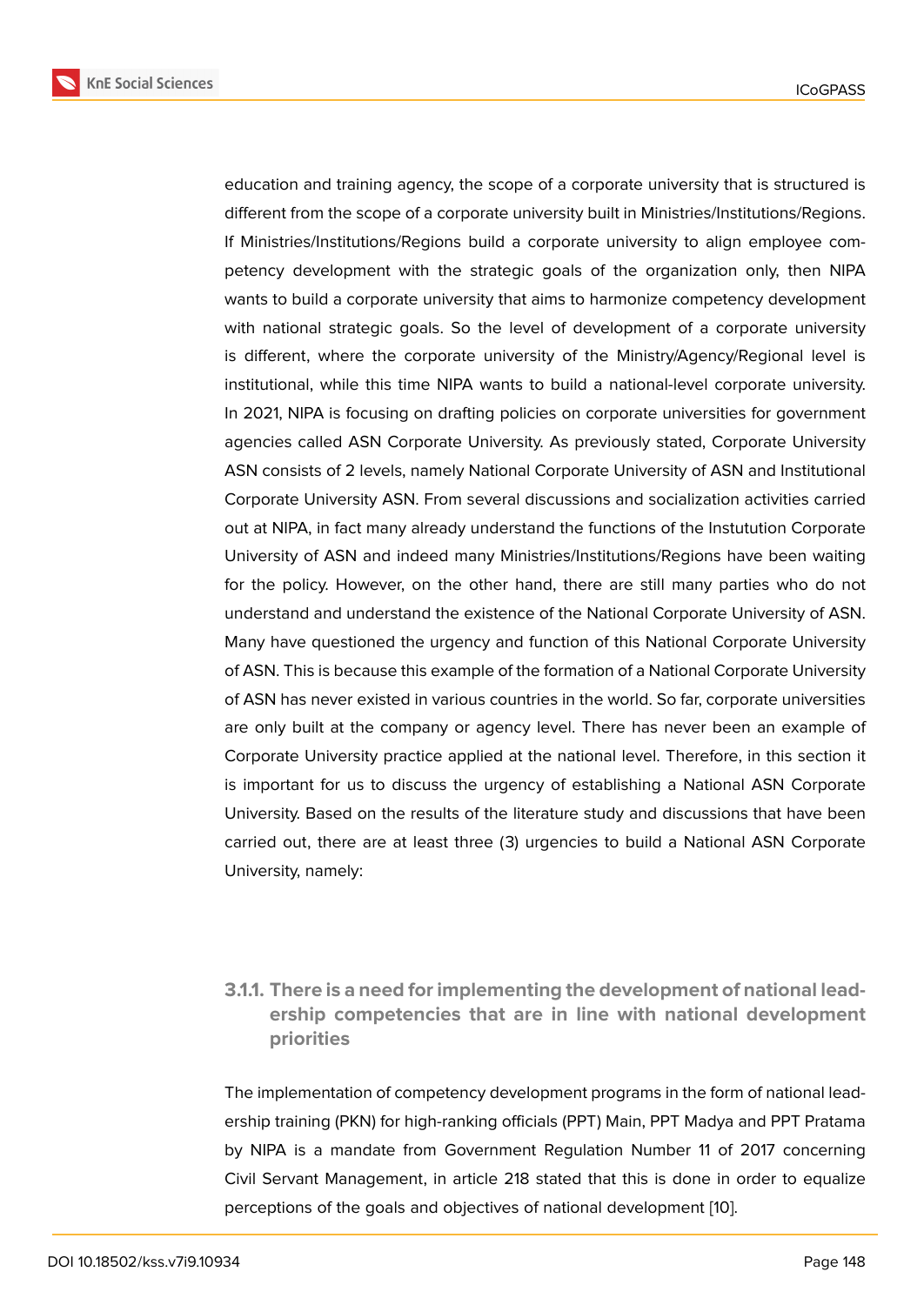education and training agency, the scope of a corporate university that is structured is different from the scope of a corporate university built in Ministries/Institutions/Regions. If Ministries/Institutions/Regions build a corporate university to align employee competency development with the strategic goals of the organization only, then NIPA wants to build a corporate university that aims to harmonize competency development with national strategic goals. So the level of development of a corporate university is different, where the corporate university of the Ministry/Agency/Regional level is institutional, while this time NIPA wants to build a national-level corporate university. In 2021, NIPA is focusing on drafting policies on corporate universities for government agencies called ASN Corporate University. As previously stated, Corporate University ASN consists of 2 levels, namely National Corporate University of ASN and Institutional Corporate University ASN. From several discussions and socialization activities carried out at NIPA, in fact many already understand the functions of the Instutution Corporate University of ASN and indeed many Ministries/Institutions/Regions have been waiting for the policy. However, on the other hand, there are still many parties who do not understand and understand the existence of the National Corporate University of ASN. Many have questioned the urgency and function of this National Corporate University of ASN. This is because this example of the formation of a National Corporate University of ASN has never existed in various countries in the world. So far, corporate universities are only built at the company or agency level. There has never been an example of Corporate University practice applied at the national level. Therefore, in this section it is important for us to discuss the urgency of establishing a National ASN Corporate University. Based on the results of the literature study and discussions that have been carried out, there are at least three (3) urgencies to build a National ASN Corporate University, namely:

### **3.1.1. There is a need for implementing the development of national leadership competencies that are in line with national development priorities**

The implementation of competency development programs in the form of national leadership training (PKN) for high-ranking officials (PPT) Main, PPT Madya and PPT Pratama by NIPA is a mandate from Government Regulation Number 11 of 2017 concerning Civil Servant Management, in article 218 stated that this is done in order to equalize perceptions of the goals and objectives of national development [10].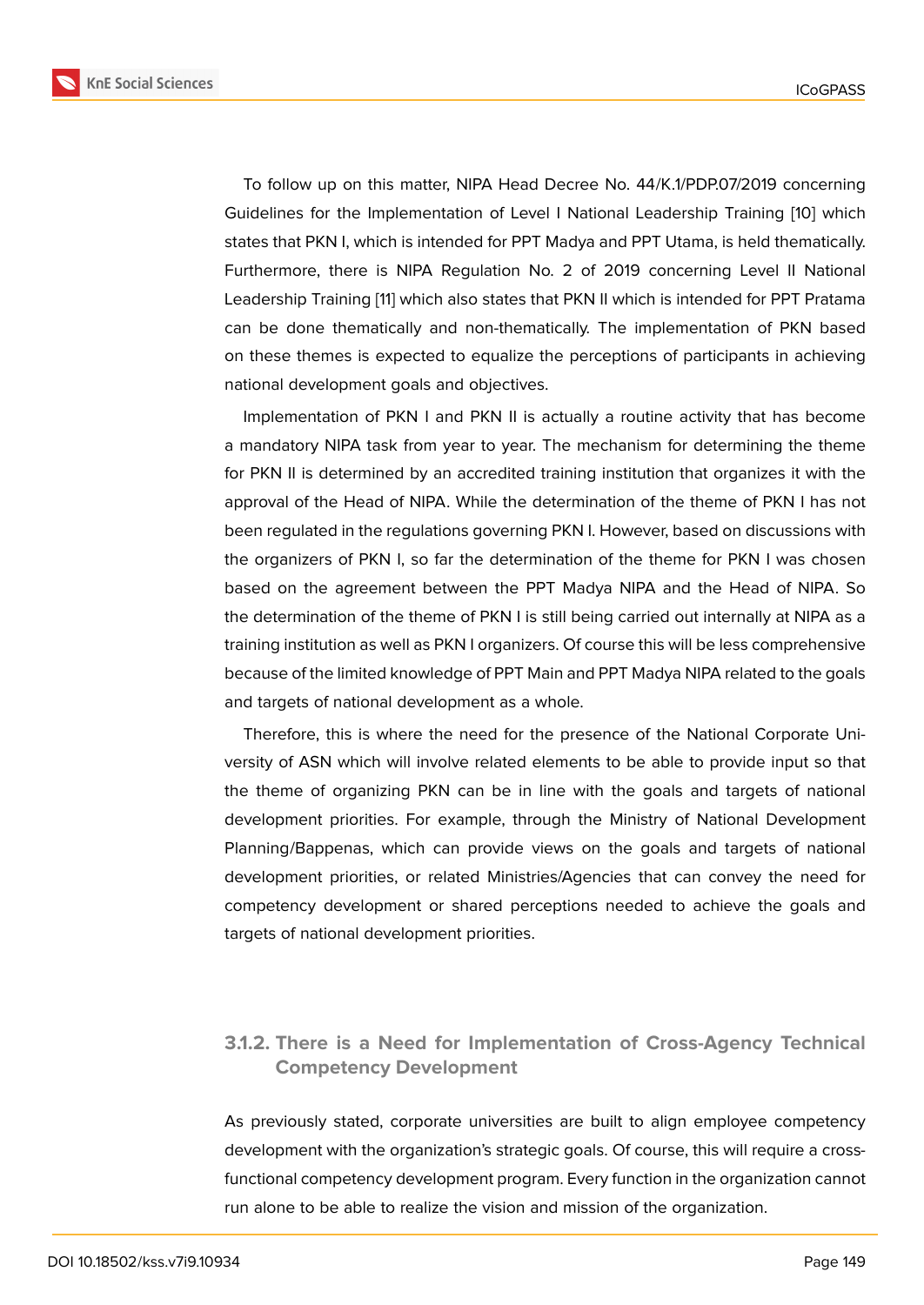To follow up on this matter, NIPA Head Decree No. 44/K.1/PDP.07/2019 concerning Guidelines for the Implementation of Level I National Leadership Training [10] which states that PKN I, which is intended for PPT Madya and PPT Utama, is held thematically. Furthermore, there is NIPA Regulation No. 2 of 2019 concerning Level II National Leadership Training [11] which also states that PKN II which is intended for PP[T P](#page-17-0)ratama can be done thematically and non-thematically. The implementation of PKN based on these themes is expected to equalize the perceptions of participants in achieving national developme[nt](#page-17-1) goals and objectives.

Implementation of PKN I and PKN II is actually a routine activity that has become a mandatory NIPA task from year to year. The mechanism for determining the theme for PKN II is determined by an accredited training institution that organizes it with the approval of the Head of NIPA. While the determination of the theme of PKN I has not been regulated in the regulations governing PKN I. However, based on discussions with the organizers of PKN I, so far the determination of the theme for PKN I was chosen based on the agreement between the PPT Madya NIPA and the Head of NIPA. So the determination of the theme of PKN I is still being carried out internally at NIPA as a training institution as well as PKN I organizers. Of course this will be less comprehensive because of the limited knowledge of PPT Main and PPT Madya NIPA related to the goals and targets of national development as a whole.

Therefore, this is where the need for the presence of the National Corporate University of ASN which will involve related elements to be able to provide input so that the theme of organizing PKN can be in line with the goals and targets of national development priorities. For example, through the Ministry of National Development Planning/Bappenas, which can provide views on the goals and targets of national development priorities, or related Ministries/Agencies that can convey the need for competency development or shared perceptions needed to achieve the goals and targets of national development priorities.

### **3.1.2. There is a Need for Implementation of Cross-Agency Technical Competency Development**

As previously stated, corporate universities are built to align employee competency development with the organization's strategic goals. Of course, this will require a crossfunctional competency development program. Every function in the organization cannot run alone to be able to realize the vision and mission of the organization.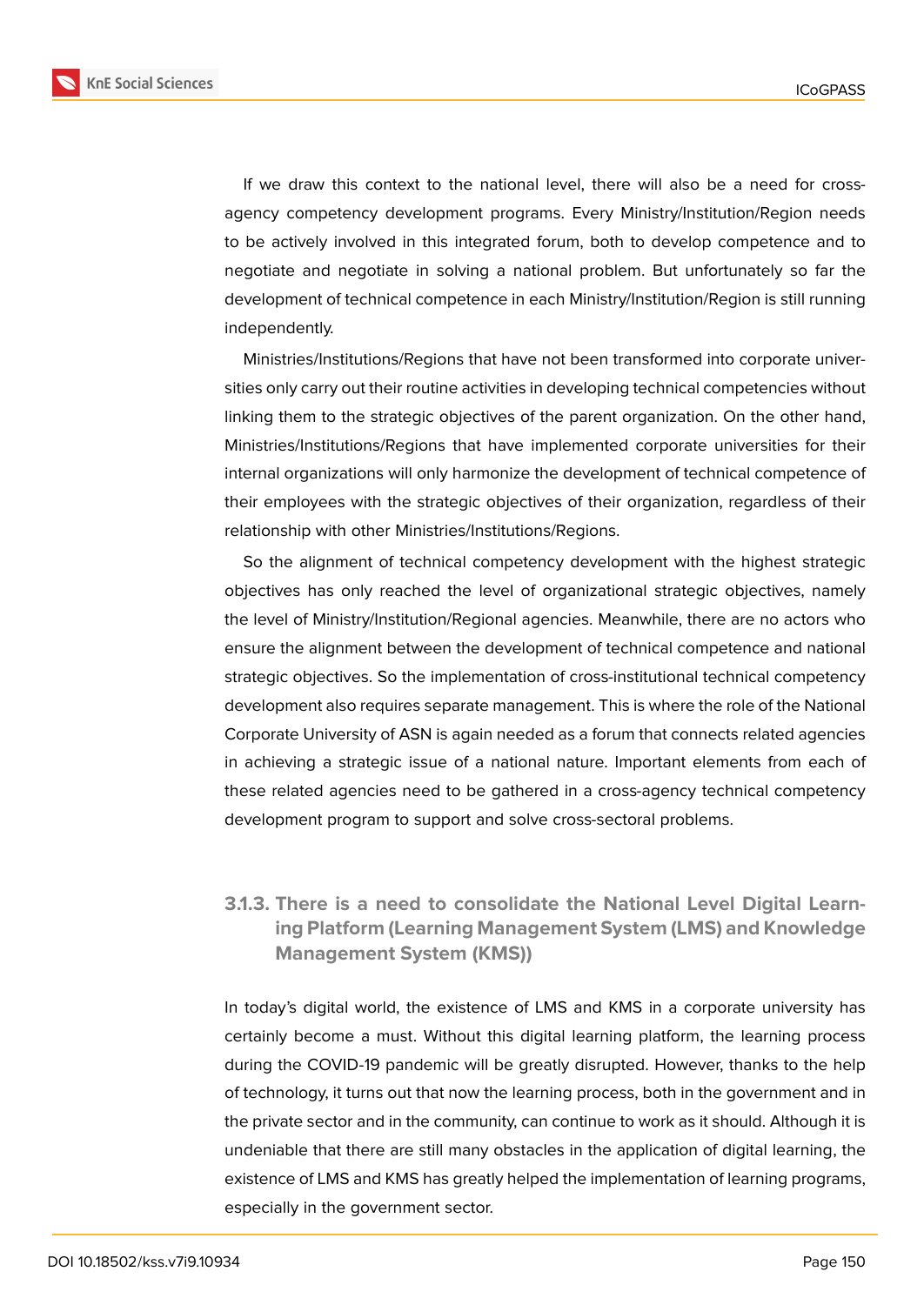

If we draw this context to the national level, there will also be a need for crossagency competency development programs. Every Ministry/Institution/Region needs to be actively involved in this integrated forum, both to develop competence and to negotiate and negotiate in solving a national problem. But unfortunately so far the development of technical competence in each Ministry/Institution/Region is still running independently.

Ministries/Institutions/Regions that have not been transformed into corporate universities only carry out their routine activities in developing technical competencies without linking them to the strategic objectives of the parent organization. On the other hand, Ministries/Institutions/Regions that have implemented corporate universities for their internal organizations will only harmonize the development of technical competence of their employees with the strategic objectives of their organization, regardless of their relationship with other Ministries/Institutions/Regions.

So the alignment of technical competency development with the highest strategic objectives has only reached the level of organizational strategic objectives, namely the level of Ministry/Institution/Regional agencies. Meanwhile, there are no actors who ensure the alignment between the development of technical competence and national strategic objectives. So the implementation of cross-institutional technical competency development also requires separate management. This is where the role of the National Corporate University of ASN is again needed as a forum that connects related agencies in achieving a strategic issue of a national nature. Important elements from each of these related agencies need to be gathered in a cross-agency technical competency development program to support and solve cross-sectoral problems.

### **3.1.3. There is a need to consolidate the National Level Digital Learning Platform (Learning Management System (LMS) and Knowledge Management System (KMS))**

In today's digital world, the existence of LMS and KMS in a corporate university has certainly become a must. Without this digital learning platform, the learning process during the COVID-19 pandemic will be greatly disrupted. However, thanks to the help of technology, it turns out that now the learning process, both in the government and in the private sector and in the community, can continue to work as it should. Although it is undeniable that there are still many obstacles in the application of digital learning, the existence of LMS and KMS has greatly helped the implementation of learning programs, especially in the government sector.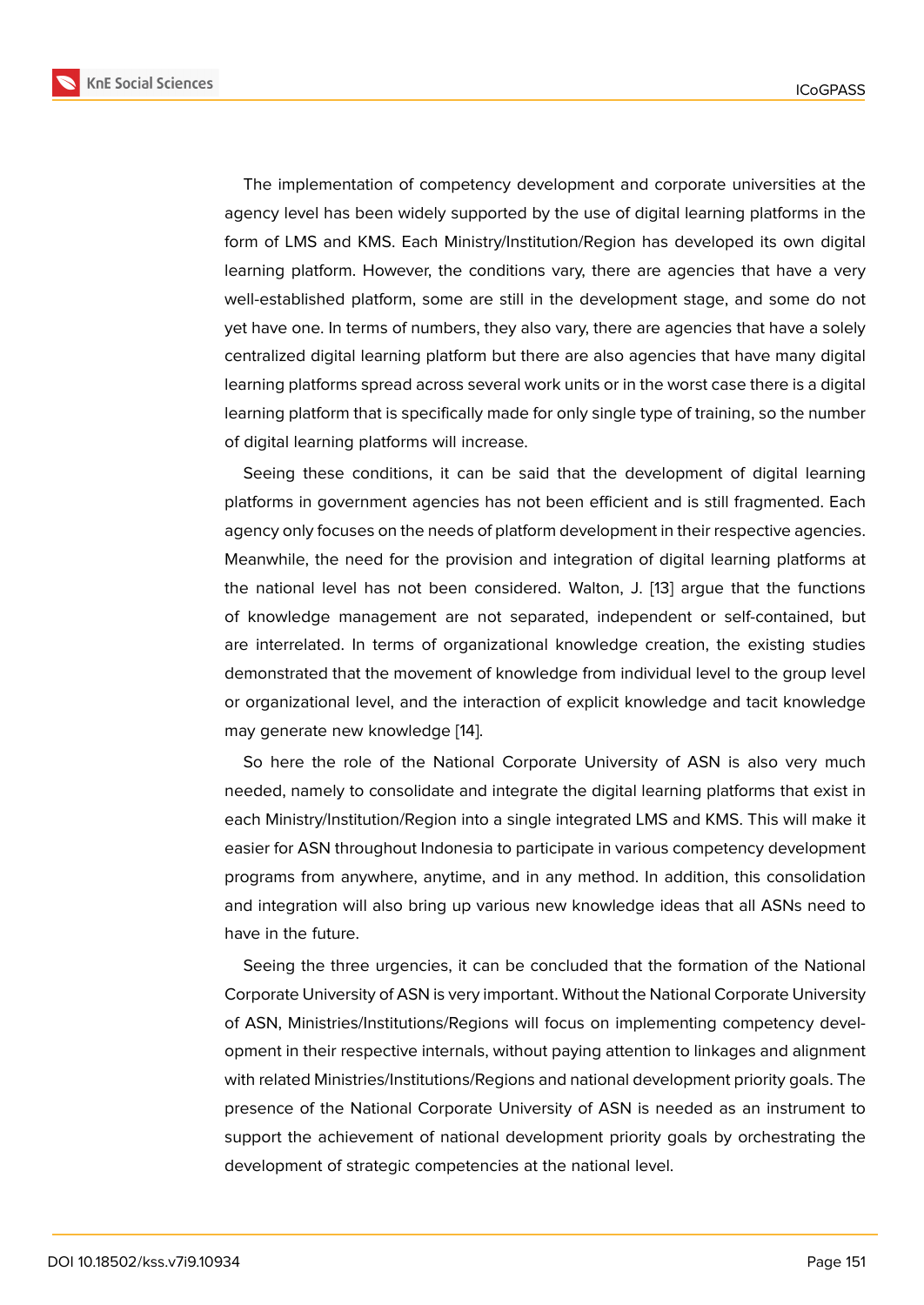The implementation of competency development and corporate universities at the agency level has been widely supported by the use of digital learning platforms in the form of LMS and KMS. Each Ministry/Institution/Region has developed its own digital learning platform. However, the conditions vary, there are agencies that have a very well-established platform, some are still in the development stage, and some do not yet have one. In terms of numbers, they also vary, there are agencies that have a solely centralized digital learning platform but there are also agencies that have many digital learning platforms spread across several work units or in the worst case there is a digital learning platform that is specifically made for only single type of training, so the number of digital learning platforms will increase.

Seeing these conditions, it can be said that the development of digital learning platforms in government agencies has not been efficient and is still fragmented. Each agency only focuses on the needs of platform development in their respective agencies. Meanwhile, the need for the provision and integration of digital learning platforms at the national level has not been considered. Walton, J. [13] argue that the functions of knowledge management are not separated, independent or self-contained, but are interrelated. In terms of organizational knowledge creation, the existing studies demonstrated that the movement of knowledge from indi[vidu](#page-17-2)al level to the group level or organizational level, and the interaction of explicit knowledge and tacit knowledge may generate new knowledge [14].

So here the role of the National Corporate University of ASN is also very much needed, namely to consolidate and integrate the digital learning platforms that exist in each Ministry/Institution/Region [in](#page-17-3)to a single integrated LMS and KMS. This will make it easier for ASN throughout Indonesia to participate in various competency development programs from anywhere, anytime, and in any method. In addition, this consolidation and integration will also bring up various new knowledge ideas that all ASNs need to have in the future.

Seeing the three urgencies, it can be concluded that the formation of the National Corporate University of ASN is very important. Without the National Corporate University of ASN, Ministries/Institutions/Regions will focus on implementing competency development in their respective internals, without paying attention to linkages and alignment with related Ministries/Institutions/Regions and national development priority goals. The presence of the National Corporate University of ASN is needed as an instrument to support the achievement of national development priority goals by orchestrating the development of strategic competencies at the national level.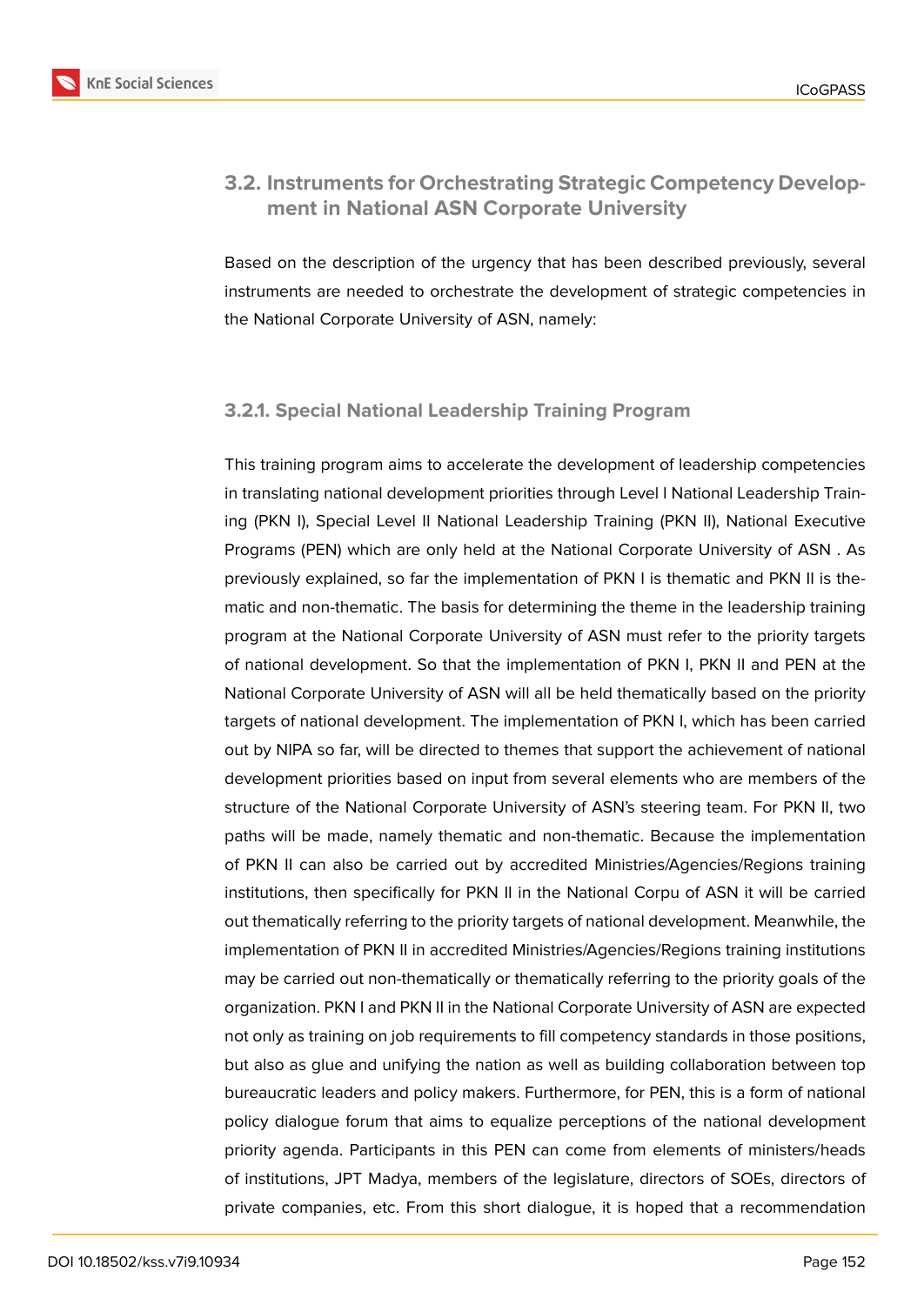

### **3.2. Instruments for Orchestrating Strategic Competency Development in National ASN Corporate University**

Based on the description of the urgency that has been described previously, several instruments are needed to orchestrate the development of strategic competencies in the National Corporate University of ASN, namely:

### **3.2.1. Special National Leadership Training Program**

This training program aims to accelerate the development of leadership competencies in translating national development priorities through Level I National Leadership Training (PKN I), Special Level II National Leadership Training (PKN II), National Executive Programs (PEN) which are only held at the National Corporate University of ASN . As previously explained, so far the implementation of PKN I is thematic and PKN II is thematic and non-thematic. The basis for determining the theme in the leadership training program at the National Corporate University of ASN must refer to the priority targets of national development. So that the implementation of PKN I, PKN II and PEN at the National Corporate University of ASN will all be held thematically based on the priority targets of national development. The implementation of PKN I, which has been carried out by NIPA so far, will be directed to themes that support the achievement of national development priorities based on input from several elements who are members of the structure of the National Corporate University of ASN's steering team. For PKN II, two paths will be made, namely thematic and non-thematic. Because the implementation of PKN II can also be carried out by accredited Ministries/Agencies/Regions training institutions, then specifically for PKN II in the National Corpu of ASN it will be carried out thematically referring to the priority targets of national development. Meanwhile, the implementation of PKN II in accredited Ministries/Agencies/Regions training institutions may be carried out non-thematically or thematically referring to the priority goals of the organization. PKN I and PKN II in the National Corporate University of ASN are expected not only as training on job requirements to fill competency standards in those positions, but also as glue and unifying the nation as well as building collaboration between top bureaucratic leaders and policy makers. Furthermore, for PEN, this is a form of national policy dialogue forum that aims to equalize perceptions of the national development priority agenda. Participants in this PEN can come from elements of ministers/heads of institutions, JPT Madya, members of the legislature, directors of SOEs, directors of private companies, etc. From this short dialogue, it is hoped that a recommendation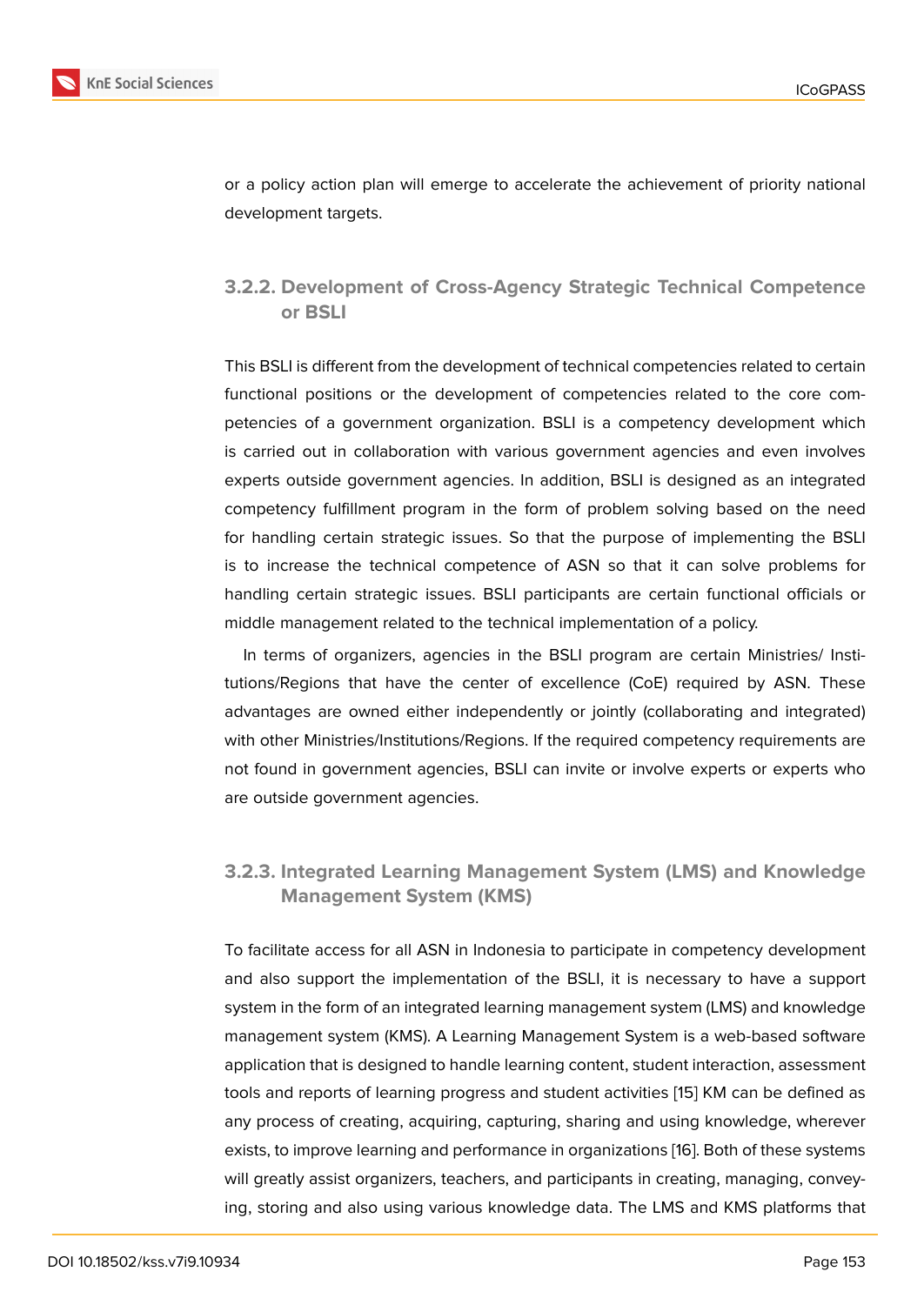or a policy action plan will emerge to accelerate the achievement of priority national development targets.

### **3.2.2. Development of Cross-Agency Strategic Technical Competence or BSLI**

This BSLI is different from the development of technical competencies related to certain functional positions or the development of competencies related to the core competencies of a government organization. BSLI is a competency development which is carried out in collaboration with various government agencies and even involves experts outside government agencies. In addition, BSLI is designed as an integrated competency fulfillment program in the form of problem solving based on the need for handling certain strategic issues. So that the purpose of implementing the BSLI is to increase the technical competence of ASN so that it can solve problems for handling certain strategic issues. BSLI participants are certain functional officials or middle management related to the technical implementation of a policy.

In terms of organizers, agencies in the BSLI program are certain Ministries/ Institutions/Regions that have the center of excellence (CoE) required by ASN. These advantages are owned either independently or jointly (collaborating and integrated) with other Ministries/Institutions/Regions. If the required competency requirements are not found in government agencies, BSLI can invite or involve experts or experts who are outside government agencies.

#### **3.2.3. Integrated Learning Management System (LMS) and Knowledge Management System (KMS)**

To facilitate access for all ASN in Indonesia to participate in competency development and also support the implementation of the BSLI, it is necessary to have a support system in the form of an integrated learning management system (LMS) and knowledge management system (KMS). A Learning Management System is a web-based software application that is designed to handle learning content, student interaction, assessment tools and reports of learning progress and student activities [15] KM can be defined as any process of creating, acquiring, capturing, sharing and using knowledge, wherever exists, to improve learning and performance in organizations [16]. Both of these systems will greatly assist organizers, teachers, and participants in cr[eati](#page-17-4)ng, managing, conveying, storing and also using various knowledge data. The LMS and KMS platforms that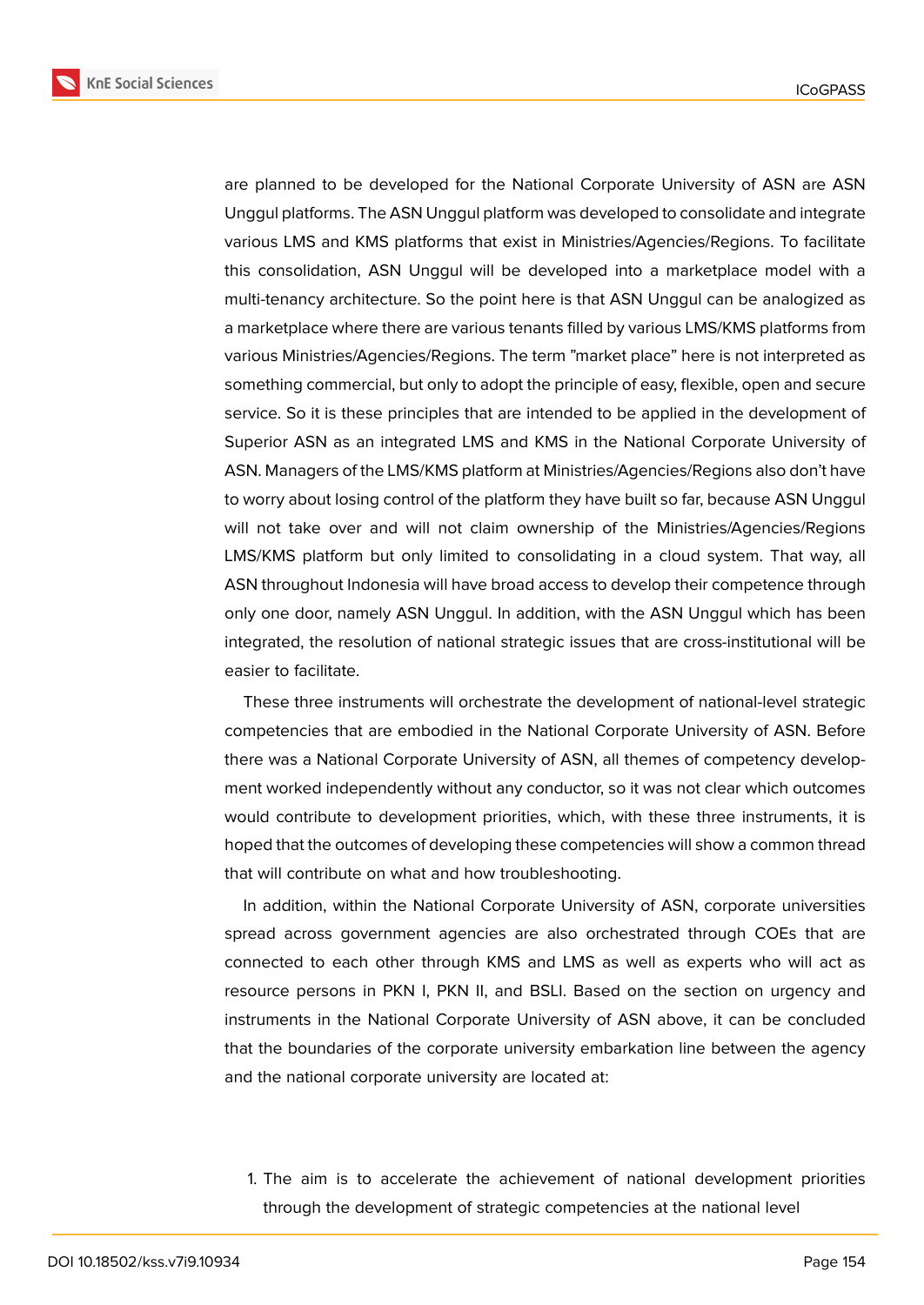

are planned to be developed for the National Corporate University of ASN are ASN Unggul platforms. The ASN Unggul platform was developed to consolidate and integrate various LMS and KMS platforms that exist in Ministries/Agencies/Regions. To facilitate this consolidation, ASN Unggul will be developed into a marketplace model with a multi-tenancy architecture. So the point here is that ASN Unggul can be analogized as a marketplace where there are various tenants filled by various LMS/KMS platforms from various Ministries/Agencies/Regions. The term "market place" here is not interpreted as something commercial, but only to adopt the principle of easy, flexible, open and secure service. So it is these principles that are intended to be applied in the development of Superior ASN as an integrated LMS and KMS in the National Corporate University of ASN. Managers of the LMS/KMS platform at Ministries/Agencies/Regions also don't have to worry about losing control of the platform they have built so far, because ASN Unggul will not take over and will not claim ownership of the Ministries/Agencies/Regions LMS/KMS platform but only limited to consolidating in a cloud system. That way, all ASN throughout Indonesia will have broad access to develop their competence through only one door, namely ASN Unggul. In addition, with the ASN Unggul which has been integrated, the resolution of national strategic issues that are cross-institutional will be easier to facilitate.

These three instruments will orchestrate the development of national-level strategic competencies that are embodied in the National Corporate University of ASN. Before there was a National Corporate University of ASN, all themes of competency development worked independently without any conductor, so it was not clear which outcomes would contribute to development priorities, which, with these three instruments, it is hoped that the outcomes of developing these competencies will show a common thread that will contribute on what and how troubleshooting.

In addition, within the National Corporate University of ASN, corporate universities spread across government agencies are also orchestrated through COEs that are connected to each other through KMS and LMS as well as experts who will act as resource persons in PKN I, PKN II, and BSLI. Based on the section on urgency and instruments in the National Corporate University of ASN above, it can be concluded that the boundaries of the corporate university embarkation line between the agency and the national corporate university are located at:

1. The aim is to accelerate the achievement of national development priorities through the development of strategic competencies at the national level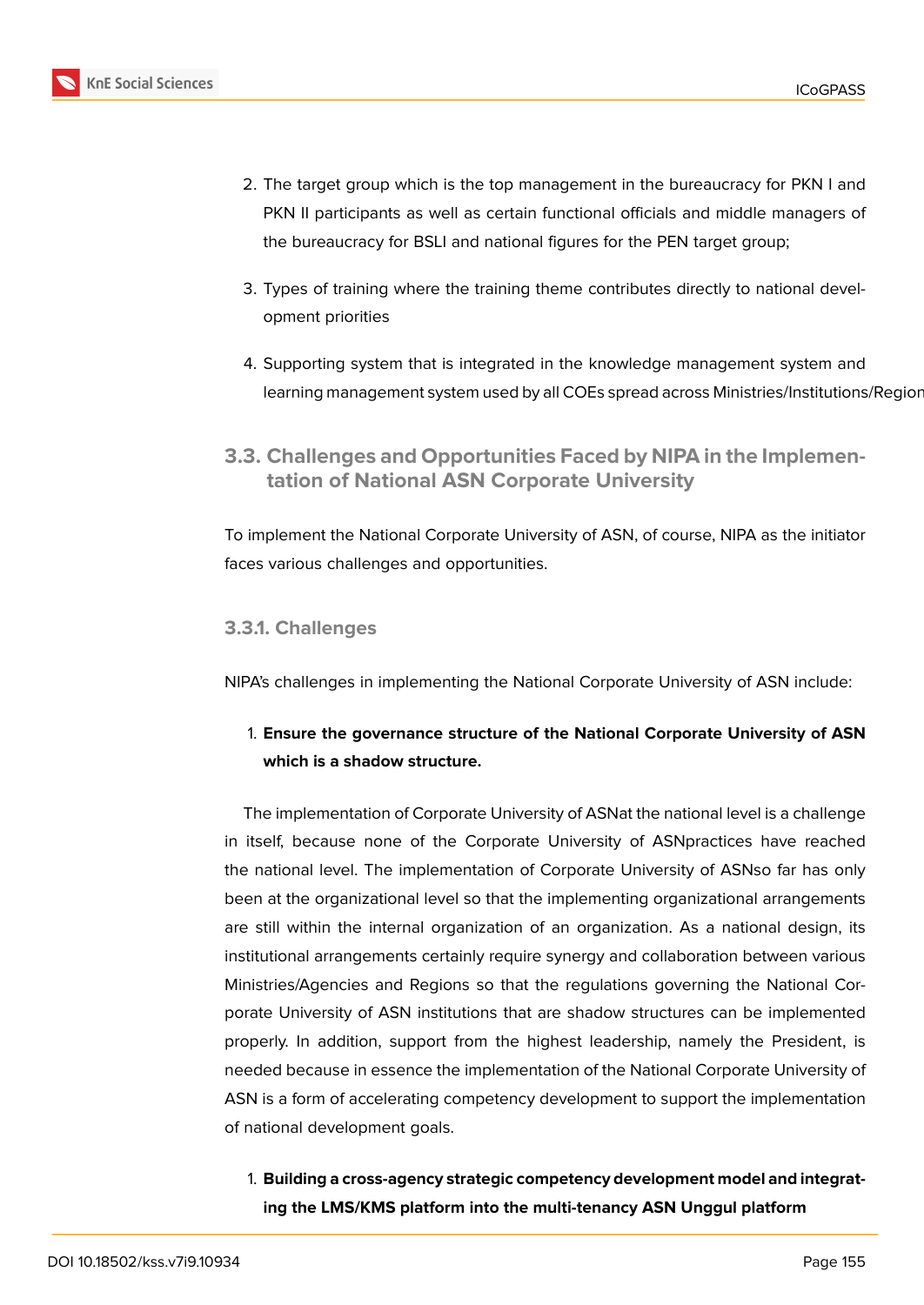

- 2. The target group which is the top management in the bureaucracy for PKN I and PKN II participants as well as certain functional officials and middle managers of the bureaucracy for BSLI and national figures for the PEN target group;
- 3. Types of training where the training theme contributes directly to national development priorities
- 4. Supporting system that is integrated in the knowledge management system and learning management system used by all COEs spread across Ministries/Institutions/Regior
- **3.3. Challenges and Opportunities Faced by NIPA in the Implementation of National ASN Corporate University**

To implement the National Corporate University of ASN, of course, NIPA as the initiator faces various challenges and opportunities.

#### **3.3.1. Challenges**

NIPA's challenges in implementing the National Corporate University of ASN include:

### 1. **Ensure the governance structure of the National Corporate University of ASN which is a shadow structure.**

The implementation of Corporate University of ASNat the national level is a challenge in itself, because none of the Corporate University of ASNpractices have reached the national level. The implementation of Corporate University of ASNso far has only been at the organizational level so that the implementing organizational arrangements are still within the internal organization of an organization. As a national design, its institutional arrangements certainly require synergy and collaboration between various Ministries/Agencies and Regions so that the regulations governing the National Corporate University of ASN institutions that are shadow structures can be implemented properly. In addition, support from the highest leadership, namely the President, is needed because in essence the implementation of the National Corporate University of ASN is a form of accelerating competency development to support the implementation of national development goals.

1. **Building a cross-agency strategic competency development model and integrating the LMS/KMS platform into the multi-tenancy ASN Unggul platform**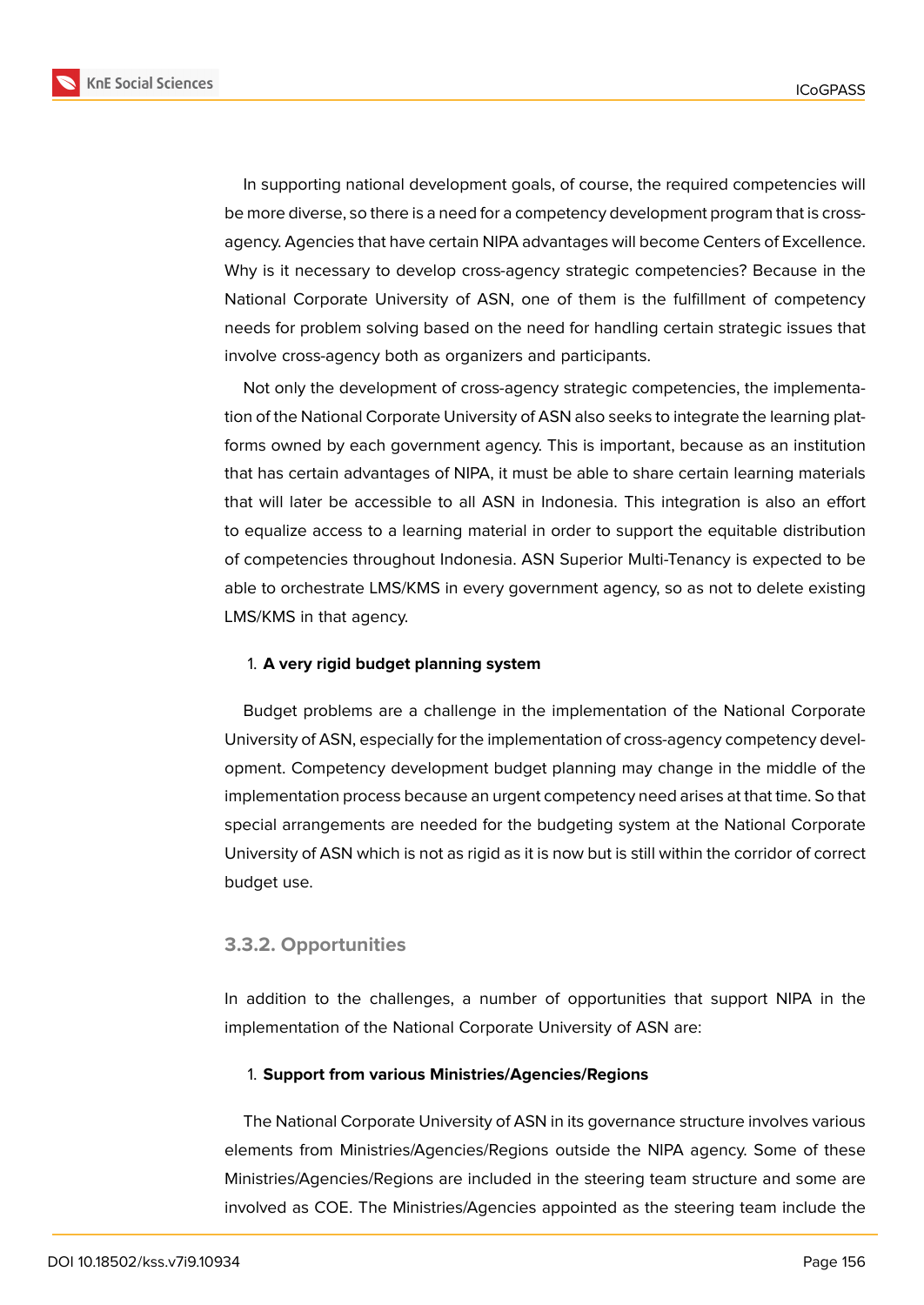

In supporting national development goals, of course, the required competencies will be more diverse, so there is a need for a competency development program that is crossagency. Agencies that have certain NIPA advantages will become Centers of Excellence. Why is it necessary to develop cross-agency strategic competencies? Because in the National Corporate University of ASN, one of them is the fulfillment of competency needs for problem solving based on the need for handling certain strategic issues that involve cross-agency both as organizers and participants.

Not only the development of cross-agency strategic competencies, the implementation of the National Corporate University of ASN also seeks to integrate the learning platforms owned by each government agency. This is important, because as an institution that has certain advantages of NIPA, it must be able to share certain learning materials that will later be accessible to all ASN in Indonesia. This integration is also an effort to equalize access to a learning material in order to support the equitable distribution of competencies throughout Indonesia. ASN Superior Multi-Tenancy is expected to be able to orchestrate LMS/KMS in every government agency, so as not to delete existing LMS/KMS in that agency.

#### 1. **A very rigid budget planning system**

Budget problems are a challenge in the implementation of the National Corporate University of ASN, especially for the implementation of cross-agency competency development. Competency development budget planning may change in the middle of the implementation process because an urgent competency need arises at that time. So that special arrangements are needed for the budgeting system at the National Corporate University of ASN which is not as rigid as it is now but is still within the corridor of correct budget use.

#### **3.3.2. Opportunities**

In addition to the challenges, a number of opportunities that support NIPA in the implementation of the National Corporate University of ASN are:

#### 1. **Support from various Ministries/Agencies/Regions**

The National Corporate University of ASN in its governance structure involves various elements from Ministries/Agencies/Regions outside the NIPA agency. Some of these Ministries/Agencies/Regions are included in the steering team structure and some are involved as COE. The Ministries/Agencies appointed as the steering team include the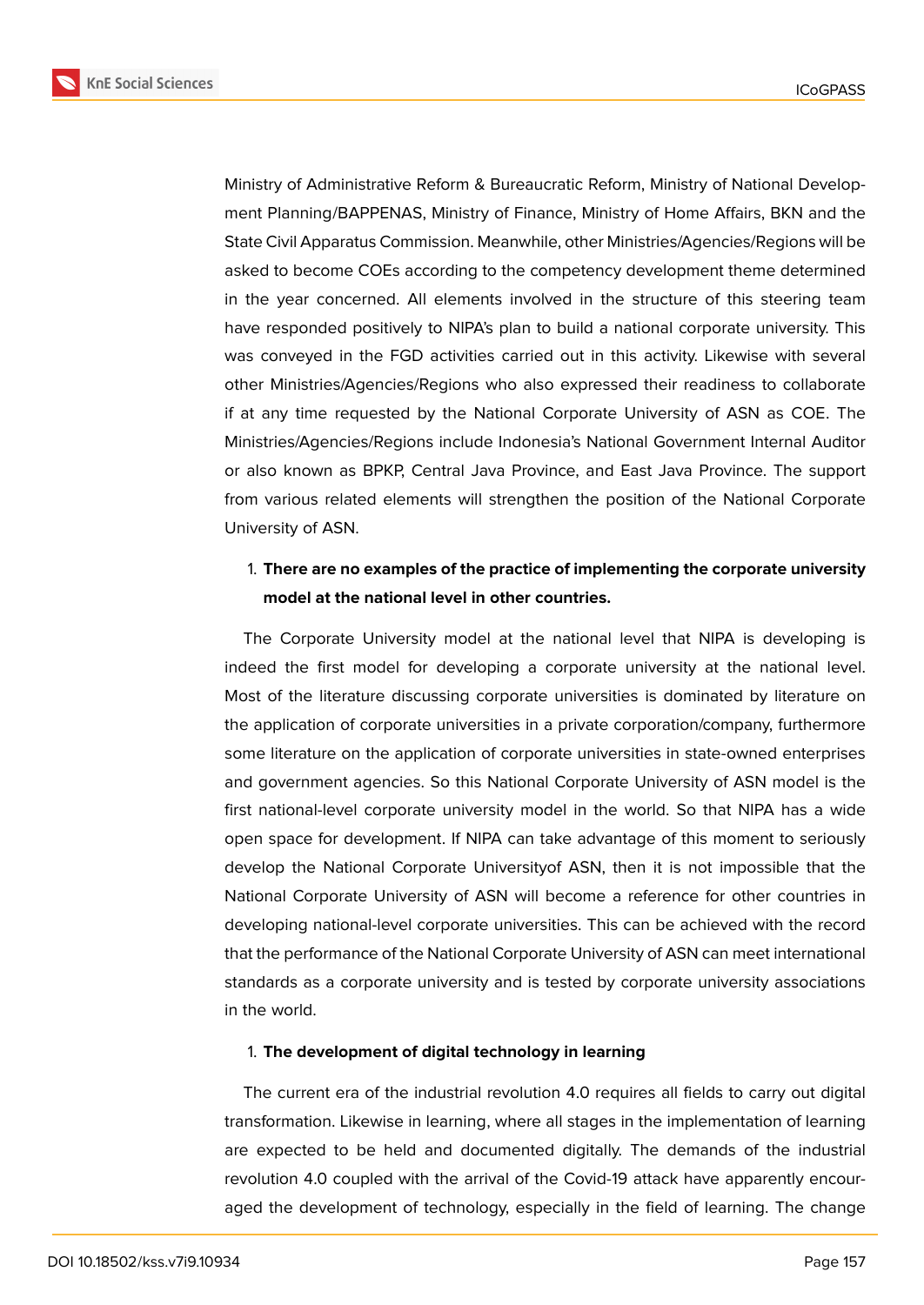

Ministry of Administrative Reform & Bureaucratic Reform, Ministry of National Develop-

ment Planning/BAPPENAS, Ministry of Finance, Ministry of Home Affairs, BKN and the State Civil Apparatus Commission. Meanwhile, other Ministries/Agencies/Regions will be asked to become COEs according to the competency development theme determined in the year concerned. All elements involved in the structure of this steering team have responded positively to NIPA's plan to build a national corporate university. This was conveyed in the FGD activities carried out in this activity. Likewise with several other Ministries/Agencies/Regions who also expressed their readiness to collaborate if at any time requested by the National Corporate University of ASN as COE. The Ministries/Agencies/Regions include Indonesia's National Government Internal Auditor or also known as BPKP, Central Java Province, and East Java Province. The support from various related elements will strengthen the position of the National Corporate University of ASN.

### 1. **There are no examples of the practice of implementing the corporate university model at the national level in other countries.**

The Corporate University model at the national level that NIPA is developing is indeed the first model for developing a corporate university at the national level. Most of the literature discussing corporate universities is dominated by literature on the application of corporate universities in a private corporation/company, furthermore some literature on the application of corporate universities in state-owned enterprises and government agencies. So this National Corporate University of ASN model is the first national-level corporate university model in the world. So that NIPA has a wide open space for development. If NIPA can take advantage of this moment to seriously develop the National Corporate Universityof ASN, then it is not impossible that the National Corporate University of ASN will become a reference for other countries in developing national-level corporate universities. This can be achieved with the record that the performance of the National Corporate University of ASN can meet international standards as a corporate university and is tested by corporate university associations in the world.

#### 1. **The development of digital technology in learning**

The current era of the industrial revolution 4.0 requires all fields to carry out digital transformation. Likewise in learning, where all stages in the implementation of learning are expected to be held and documented digitally. The demands of the industrial revolution 4.0 coupled with the arrival of the Covid-19 attack have apparently encouraged the development of technology, especially in the field of learning. The change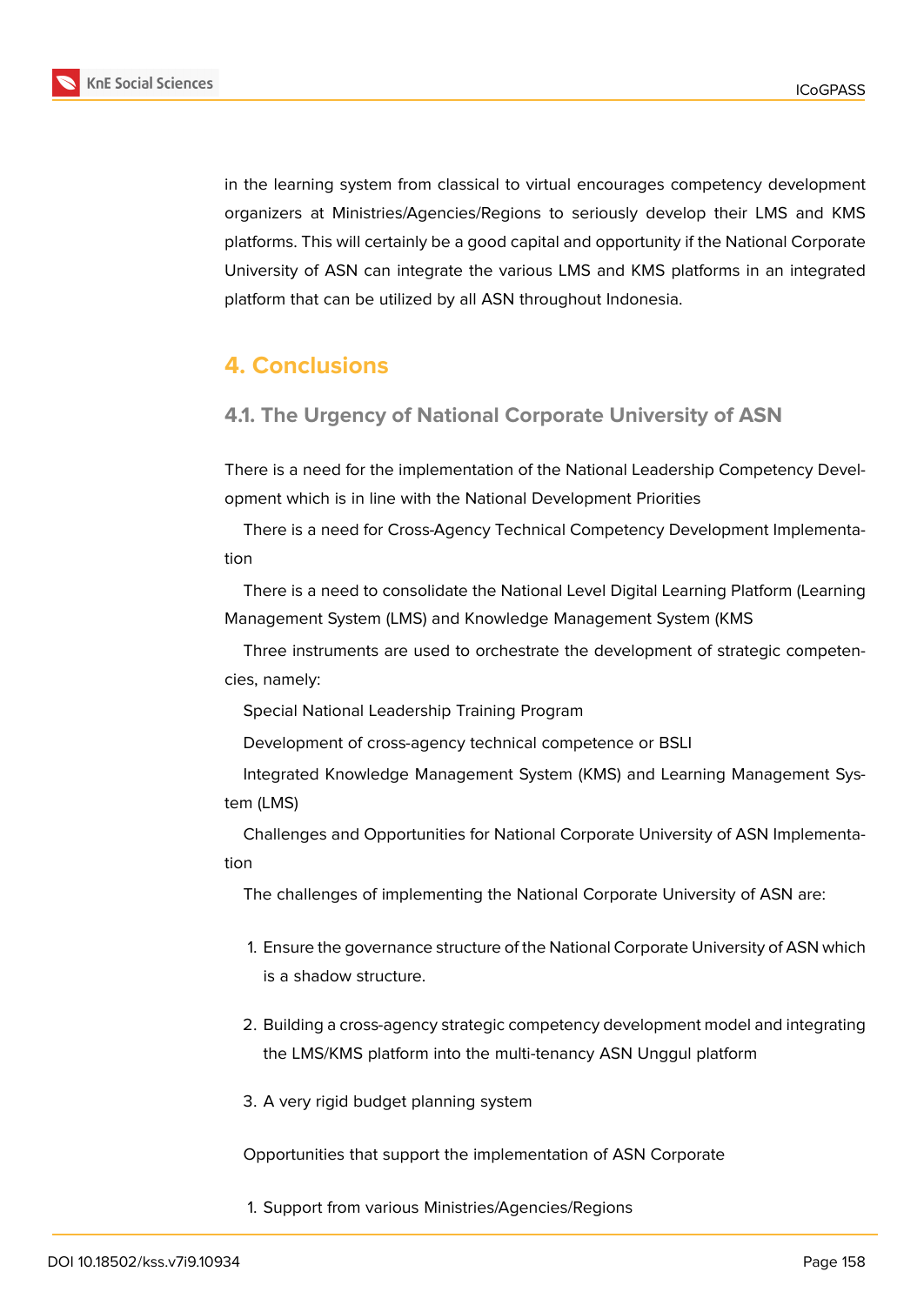

in the learning system from classical to virtual encourages competency development organizers at Ministries/Agencies/Regions to seriously develop their LMS and KMS platforms. This will certainly be a good capital and opportunity if the National Corporate University of ASN can integrate the various LMS and KMS platforms in an integrated platform that can be utilized by all ASN throughout Indonesia.

## **4. Conclusions**

### **4.1. The Urgency of National Corporate University of ASN**

There is a need for the implementation of the National Leadership Competency Development which is in line with the National Development Priorities

There is a need for Cross-Agency Technical Competency Development Implementation

There is a need to consolidate the National Level Digital Learning Platform (Learning Management System (LMS) and Knowledge Management System (KMS

Three instruments are used to orchestrate the development of strategic competencies, namely:

Special National Leadership Training Program

Development of cross-agency technical competence or BSLI

Integrated Knowledge Management System (KMS) and Learning Management System (LMS)

Challenges and Opportunities for National Corporate University of ASN Implementation

The challenges of implementing the National Corporate University of ASN are:

- 1. Ensure the governance structure of the National Corporate University of ASN which is a shadow structure.
- 2. Building a cross-agency strategic competency development model and integrating the LMS/KMS platform into the multi-tenancy ASN Unggul platform
- 3. A very rigid budget planning system

Opportunities that support the implementation of ASN Corporate

1. Support from various Ministries/Agencies/Regions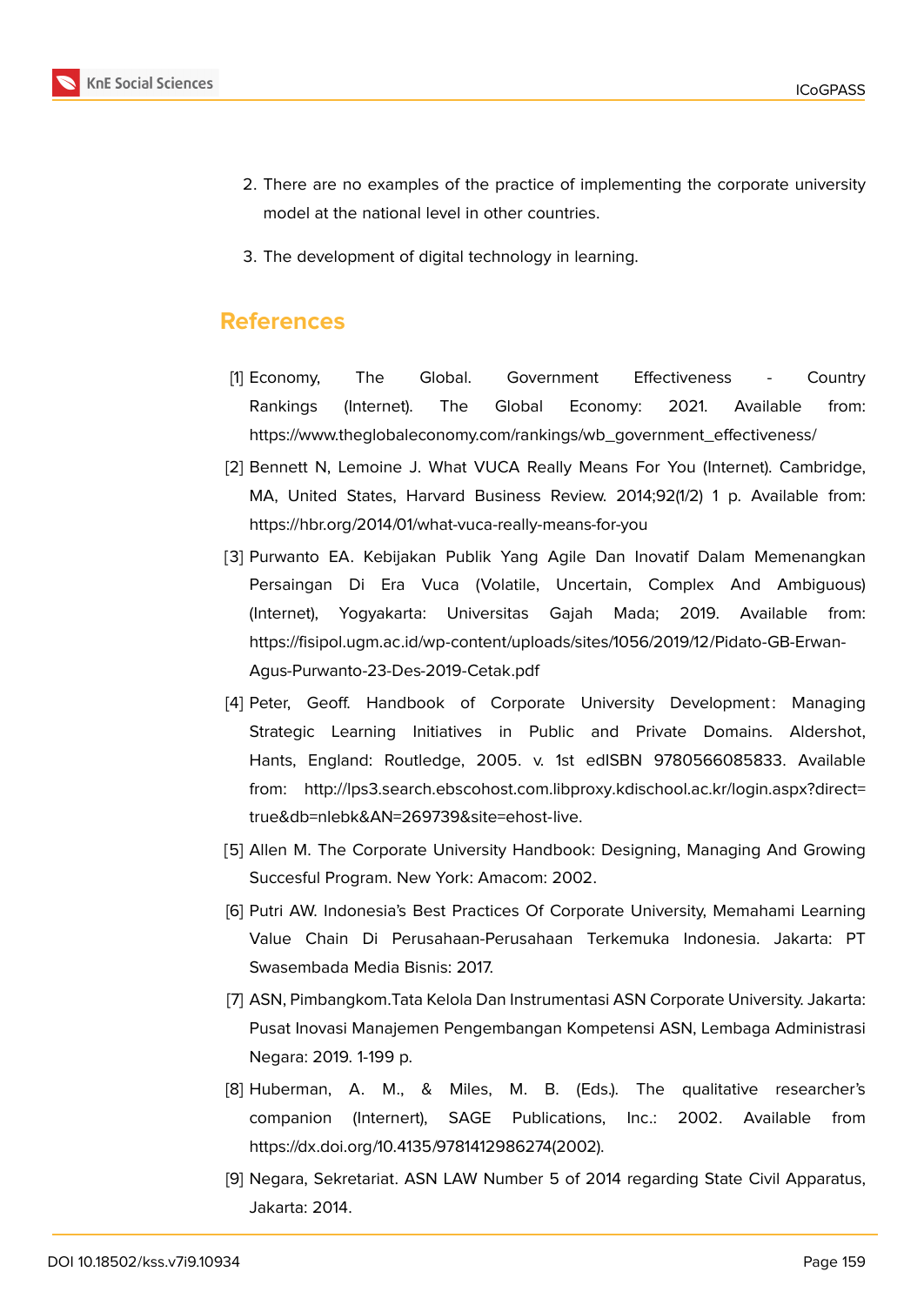- 2. There are no examples of the practice of implementing the corporate university model at the national level in other countries.
- 3. The development of digital technology in learning.

### **References**

- [1] Economy, The Global. Government Effectiveness Country Rankings (Internet). The Global Economy: 2021. Available from: https://www.theglobaleconomy.com/rankings/wb\_government\_effectiveness/
- <span id="page-16-0"></span>[2] Bennett N, Lemoine J. What VUCA Really Means For You (Internet). Cambridge, MA, United States, Harvard Business Review. 2014;92(1/2) 1 p. Available from: https://hbr.org/2014/01/what-vuca-really-means-for-you
- <span id="page-16-1"></span>[3] Purwanto EA. Kebijakan Publik Yang Agile Dan Inovatif Dalam Memenangkan Persaingan Di Era Vuca (Volatile, Uncertain, Complex And Ambiguous) (Internet), Yogyakarta: Universitas Gajah Mada; 2019. Available from: https://fisipol.ugm.ac.id/wp-content/uploads/sites/1056/2019/12/Pidato-GB-Erwan-Agus-Purwanto-23-Des-2019-Cetak.pdf
- <span id="page-16-2"></span>[4] Peter, Geoff. Handbook of Corporate University Development: Managing Strategic Learning Initiatives in Public and Private Domains. Aldershot, Hants, England: Routledge, 2005. v. 1st edISBN 9780566085833. Available from: http://lps3.search.ebscohost.com.libproxy.kdischool.ac.kr/login.aspx?direct= true&db=nlebk&AN=269739&site=ehost-live.
- [5] Allen M. The Corporate University Handbook: Designing, Managing And Growing Succes[ful Program. New York: Amacom: 2002.](http://lps3.search.ebscohost.com.libproxy.kdischool.ac.kr/login.aspx?direct=true&db=nlebk&AN=269739&site=ehost-live.)
- <span id="page-16-3"></span>[6] [Putri AW. Indonesia's Best Practices Of Corp](http://lps3.search.ebscohost.com.libproxy.kdischool.ac.kr/login.aspx?direct=true&db=nlebk&AN=269739&site=ehost-live.)orate University, Memahami Learning Value Chain Di Perusahaan-Perusahaan Terkemuka Indonesia. Jakarta: PT Swasembada Media Bisnis: 2017.
- <span id="page-16-4"></span>[7] ASN, Pimbangkom.Tata Kelola Dan Instrumentasi ASN Corporate University. Jakarta: Pusat Inovasi Manajemen Pengembangan Kompetensi ASN, Lembaga Administrasi Negara: 2019. 1-199 p.
- <span id="page-16-5"></span>[8] Huberman, A. M., & Miles, M. B. (Eds.). The qualitative researcher's companion (Internert), SAGE Publications, Inc.: 2002. Available from https://dx.doi.org/10.4135/9781412986274(2002).
- <span id="page-16-6"></span>[9] Negara, Sekretariat. ASN LAW Number 5 of 2014 regarding State Civil Apparatus, Jakarta: 2014.